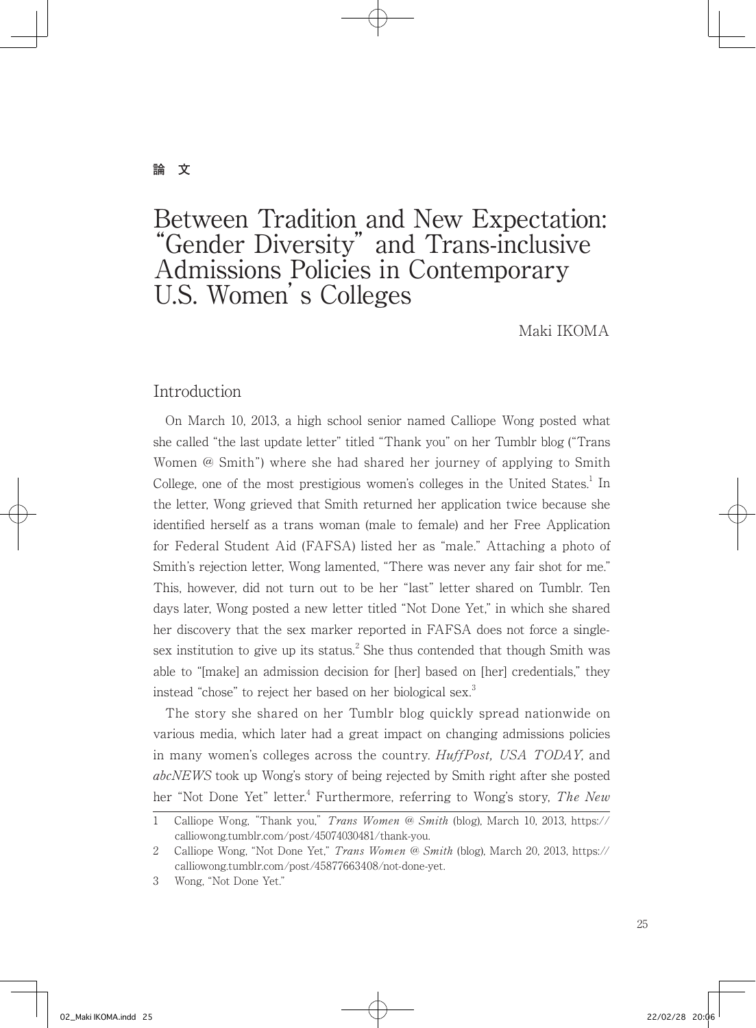## **論 文**

# Between Tradition and New Expectation: "Gender Diversity" and Trans-inclusive Admissions Policies in Contemporary U.S. Women's Colleges

Maki IKOMA

## Introduction

 On March 10, 2013, a high school senior named Calliope Wong posted what she called "the last update letter" titled "Thank you" on her Tumblr blog ("Trans Women @ Smith") where she had shared her journey of applying to Smith College, one of the most prestigious women's colleges in the United States.<sup>1</sup> In the letter, Wong grieved that Smith returned her application twice because she identified herself as a trans woman (male to female) and her Free Application for Federal Student Aid (FAFSA) listed her as "male." Attaching a photo of Smith's rejection letter, Wong lamented, "There was never any fair shot for me." This, however, did not turn out to be her "last" letter shared on Tumblr. Ten days later, Wong posted a new letter titled "Not Done Yet," in which she shared her discovery that the sex marker reported in FAFSA does not force a singlesex institution to give up its status. $^2$  She thus contended that though Smith was able to "[make] an admission decision for [her] based on [her] credentials," they instead "chose" to reject her based on her biological sex. $3$ 

 The story she shared on her Tumblr blog quickly spread nationwide on various media, which later had a great impact on changing admissions policies in many women's colleges across the country. *HuffPost*, USA TODAY, and abcNEWS took up Wong's story of being rejected by Smith right after she posted her "Not Done Yet" letter.<sup>4</sup> Furthermore, referring to Wong's story, *The New* 

<sup>1</sup> Calliope Wong, "Thank you," Trans Women @ Smith (blog), March 10, 2013, https:// calliowong.tumblr.com/post/45074030481/thank-you.

<sup>2</sup> Calliope Wong, "Not Done Yet," Trans Women @ Smith (blog), March 20, 2013, https:// calliowong.tumblr.com/post/45877663408/not-done-yet.

<sup>3</sup> Wong, "Not Done Yet."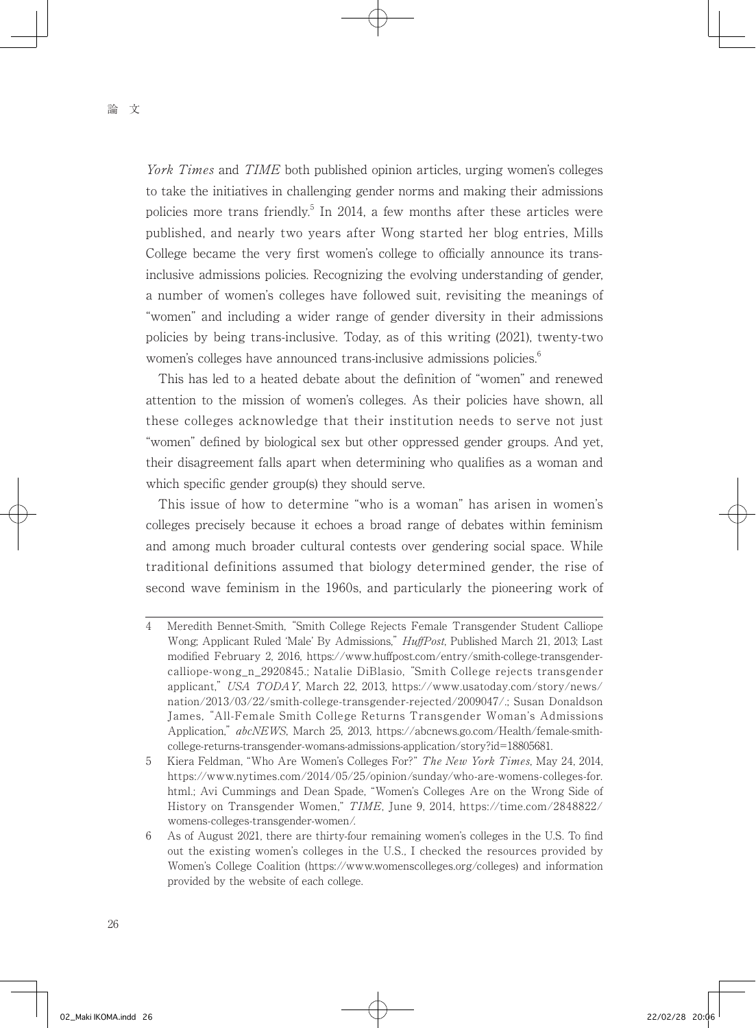York Times and TIME both published opinion articles, urging women's colleges to take the initiatives in challenging gender norms and making their admissions policies more trans friendly.<sup>5</sup> In 2014, a few months after these articles were published, and nearly two years after Wong started her blog entries, Mills College became the very first women's college to officially announce its transinclusive admissions policies. Recognizing the evolving understanding of gender, a number of women's colleges have followed suit, revisiting the meanings of "women" and including a wider range of gender diversity in their admissions policies by being trans-inclusive. Today, as of this writing (2021), twenty-two women's colleges have announced trans-inclusive admissions policies.<sup>6</sup>

 This has led to a heated debate about the definition of "women" and renewed attention to the mission of women's colleges. As their policies have shown, all these colleges acknowledge that their institution needs to serve not just "women" defined by biological sex but other oppressed gender groups. And yet, their disagreement falls apart when determining who qualifies as a woman and which specific gender group(s) they should serve.

 This issue of how to determine "who is a woman" has arisen in women's colleges precisely because it echoes a broad range of debates within feminism and among much broader cultural contests over gendering social space. While traditional definitions assumed that biology determined gender, the rise of second wave feminism in the 1960s, and particularly the pioneering work of

5 Kiera Feldman, "Who Are Women's Colleges For?" The New York Times, May 24, 2014, https://www.nytimes.com/2014/05/25/opinion/sunday/who-are-womens-colleges-for. html.; Avi Cummings and Dean Spade, "Women's Colleges Are on the Wrong Side of History on Transgender Women," TIME, June 9, 2014, https://time.com/2848822/ womens-colleges-transgender-women/.

<sup>4</sup> Meredith Bennet-Smith, "Smith College Rejects Female Transgender Student Calliope Wong; Applicant Ruled 'Male' By Admissions," *HuffPost*, Published March 21, 2013; Last modified February 2, 2016, https://www.huffpost.com/entry/smith-college-transgendercalliope-wong\_n\_2920845.; Natalie DiBlasio, "Smith College rejects transgender applicant," USA TODAY, March 22, 2013, https://www.usatoday.com/story/news/ nation/2013/03/22/smith-college-transgender-rejected/2009047/.; Susan Donaldson James, "All-Female Smith College Returns Transgender Woman's Admissions Application," abcNEWS, March 25, 2013, https://abcnews.go.com/Health/female-smithcollege-returns-transgender-womans-admissions-application/story?id=18805681.

<sup>6</sup> As of August 2021, there are thirty-four remaining women's colleges in the U.S. To find out the existing women's colleges in the U.S., I checked the resources provided by Women's College Coalition (https://www.womenscolleges.org/colleges) and information provided by the website of each college.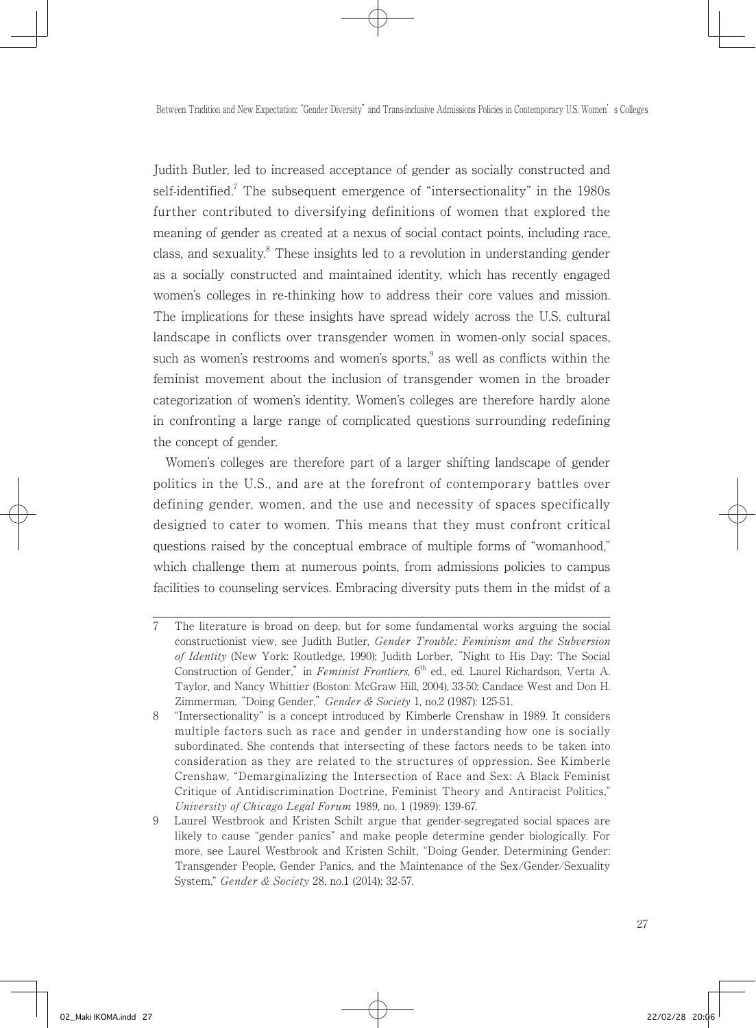Judith Butler, led to increased acceptance of gender as socially constructed and self-identified.<sup>7</sup> The subsequent emergence of "intersectionality" in the  $1980s$ further contributed to diversifying definitions of women that explored the meaning of gender as created at a nexus of social contact points, including race, class, and sexuality.<sup>8</sup> These insights led to a revolution in understanding gender as a socially constructed and maintained identity, which has recently engaged women's colleges in re-thinking how to address their core values and mission. The implications for these insights have spread widely across the U.S. cultural landscape in conflicts over transgender women in women-only social spaces, such as women's restrooms and women's sports, $9$  as well as conflicts within the feminist movement about the inclusion of transgender women in the broader categorization of women's identity. Women's colleges are therefore hardly alone in confronting a large range of complicated questions surrounding redefining the concept of gender.

 Women's colleges are therefore part of a larger shifting landscape of gender politics in the U.S., and are at the forefront of contemporary battles over defining gender, women, and the use and necessity of spaces specifically designed to cater to women. This means that they must confront critical questions raised by the conceptual embrace of multiple forms of "womanhood," which challenge them at numerous points, from admissions policies to campus facilities to counseling services. Embracing diversity puts them in the midst of a

<sup>7</sup> The literature is broad on deep, but for some fundamental works arguing the social constructionist view, see Judith Butler, Gender Trouble: Feminism and the Subversion of Identity (New York: Routledge, 1990); Judith Lorber, "Night to His Day: The Social Construction of Gender," in Feminist Frontiers, 6<sup>th</sup> ed., ed. Laurel Richardson, Verta A. Taylor, and Nancy Whittier (Boston: McGraw Hill, 2004), 33-50; Candace West and Don H. Zimmerman, "Doing Gender," Gender & Society 1, no.2 (1987): 125-51.

<sup>8</sup> "Intersectionality" is a concept introduced by Kimberle Crenshaw in 1989. It considers multiple factors such as race and gender in understanding how one is socially subordinated. She contends that intersecting of these factors needs to be taken into consideration as they are related to the structures of oppression. See Kimberle Crenshaw, "Demarginalizing the Intersection of Race and Sex: A Black Feminist Critique of Antidiscrimination Doctrine, Feminist Theory and Antiracist Politics," University of Chicago Legal Forum 1989, no. 1 (1989): 139-67.

<sup>9</sup> Laurel Westbrook and Kristen Schilt argue that gender-segregated social spaces are likely to cause "gender panics" and make people determine gender biologically. For more, see Laurel Westbrook and Kristen Schilt, "Doing Gender, Determining Gender: Transgender People, Gender Panics, and the Maintenance of the Sex/Gender/Sexuality System," Gender & Society 28, no.1 (2014): 32-57.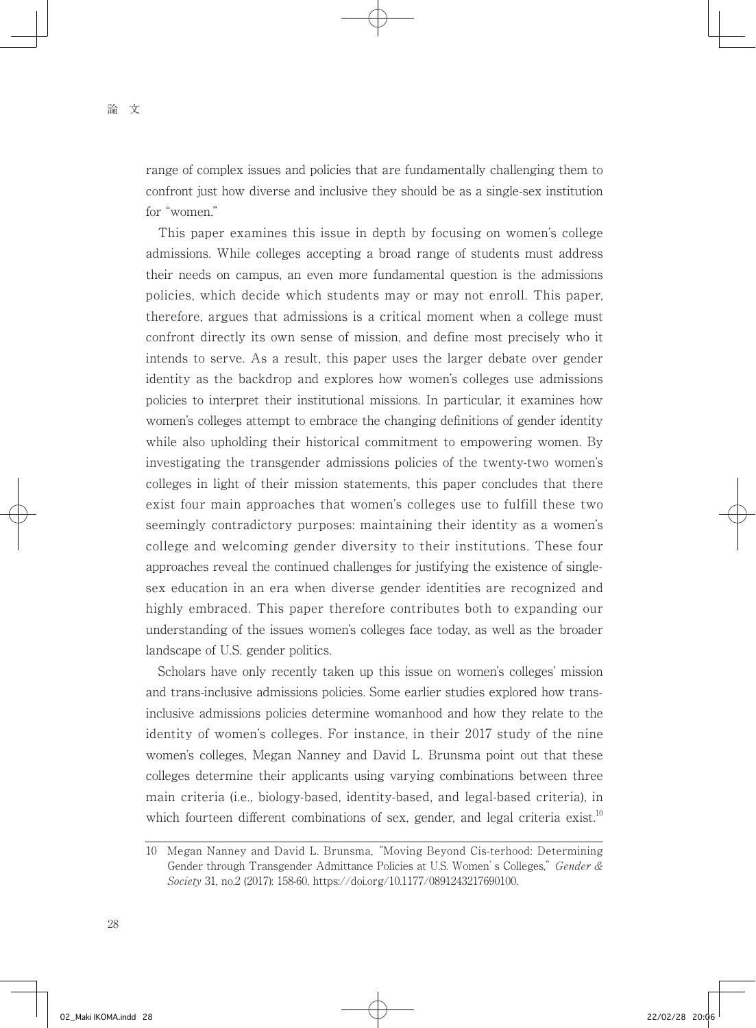range of complex issues and policies that are fundamentally challenging them to confront just how diverse and inclusive they should be as a single-sex institution for "women."

 This paper examines this issue in depth by focusing on women's college admissions. While colleges accepting a broad range of students must address their needs on campus, an even more fundamental question is the admissions policies, which decide which students may or may not enroll. This paper, therefore, argues that admissions is a critical moment when a college must confront directly its own sense of mission, and define most precisely who it intends to serve. As a result, this paper uses the larger debate over gender identity as the backdrop and explores how women's colleges use admissions policies to interpret their institutional missions. In particular, it examines how women's colleges attempt to embrace the changing definitions of gender identity while also upholding their historical commitment to empowering women. By investigating the transgender admissions policies of the twenty-two women's colleges in light of their mission statements, this paper concludes that there exist four main approaches that women's colleges use to fulfill these two seemingly contradictory purposes: maintaining their identity as a women's college and welcoming gender diversity to their institutions. These four approaches reveal the continued challenges for justifying the existence of singlesex education in an era when diverse gender identities are recognized and highly embraced. This paper therefore contributes both to expanding our understanding of the issues women's colleges face today, as well as the broader landscape of U.S. gender politics.

 Scholars have only recently taken up this issue on women's colleges' mission and trans-inclusive admissions policies. Some earlier studies explored how transinclusive admissions policies determine womanhood and how they relate to the identity of women's colleges. For instance, in their 2017 study of the nine women's colleges, Megan Nanney and David L. Brunsma point out that these colleges determine their applicants using varying combinations between three main criteria (i.e., biology-based, identity-based, and legal-based criteria), in which fourteen different combinations of sex, gender, and legal criteria exist.<sup>10</sup>

<sup>10</sup> Megan Nanney and David L. Brunsma, "Moving Beyond Cis-terhood: Determining Gender through Transgender Admittance Policies at U.S. Women's Colleges," Gender & Society 31, no.2 (2017): 158-60, https://doi.org/10.1177/0891243217690100.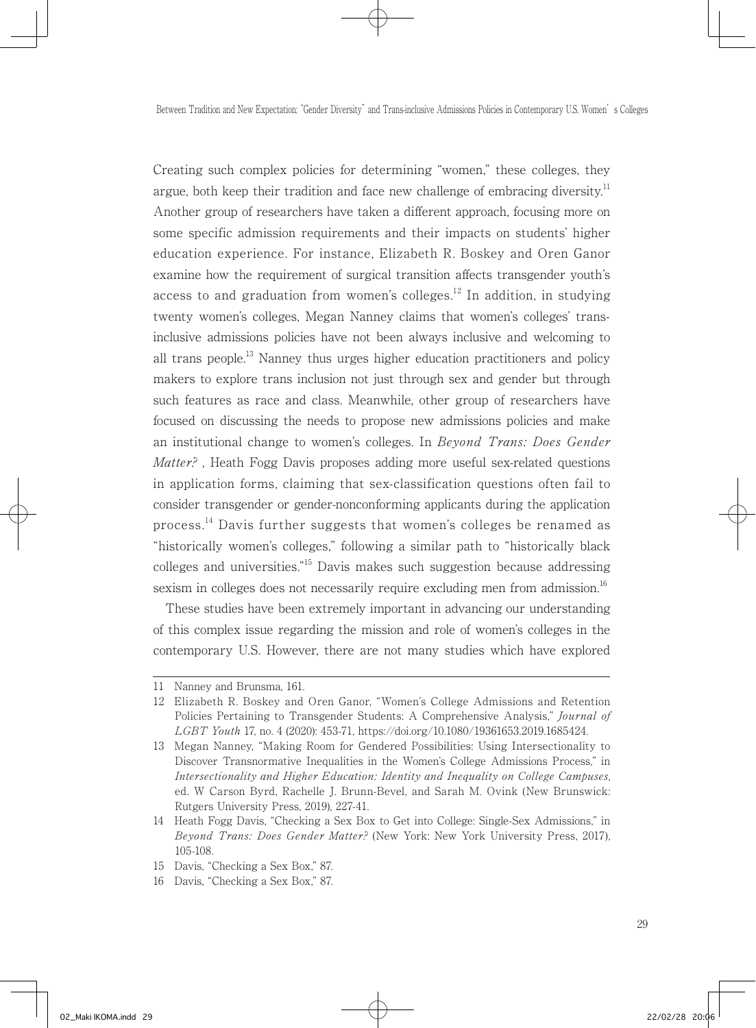Creating such complex policies for determining "women," these colleges, they argue, both keep their tradition and face new challenge of embracing diversity.<sup>11</sup> Another group of researchers have taken a different approach, focusing more on some specific admission requirements and their impacts on students' higher education experience. For instance, Elizabeth R. Boskey and Oren Ganor examine how the requirement of surgical transition affects transgender youth's access to and graduation from women's colleges.<sup>12</sup> In addition, in studving twenty women's colleges, Megan Nanney claims that women's colleges' transinclusive admissions policies have not been always inclusive and welcoming to all trans people.<sup>13</sup> Nanney thus urges higher education practitioners and policy makers to explore trans inclusion not just through sex and gender but through such features as race and class. Meanwhile, other group of researchers have focused on discussing the needs to propose new admissions policies and make an institutional change to women's colleges. In Beyond Trans: Does Gender Matter?, Heath Fogg Davis proposes adding more useful sex-related questions in application forms, claiming that sex-classification questions often fail to consider transgender or gender-nonconforming applicants during the application process.<sup>14</sup> Davis further suggests that women's colleges be renamed as "historically women's colleges," following a similar path to "historically black colleges and universities."15 Davis makes such suggestion because addressing sexism in colleges does not necessarily require excluding men from admission.<sup>16</sup>

 These studies have been extremely important in advancing our understanding of this complex issue regarding the mission and role of women's colleges in the contemporary U.S. However, there are not many studies which have explored

<sup>11</sup> Nanney and Brunsma, 161.

<sup>12</sup> Elizabeth R. Boskey and Oren Ganor, "Women's College Admissions and Retention Policies Pertaining to Transgender Students: A Comprehensive Analysis," Journal of LGBT Youth 17, no. 4 (2020): 453-71, https://doi.org/10.1080/19361653.2019.1685424.

<sup>13</sup> Megan Nanney, "Making Room for Gendered Possibilities: Using Intersectionality to Discover Transnormative Inequalities in the Women's College Admissions Process," in Intersectionality and Higher Education: Identity and Inequality on College Campuses, ed. W Carson Byrd, Rachelle J. Brunn-Bevel, and Sarah M. Ovink (New Brunswick: Rutgers University Press, 2019), 227-41.

<sup>14</sup> Heath Fogg Davis, "Checking a Sex Box to Get into College: Single-Sex Admissions," in Beyond Trans: Does Gender Matter? (New York: New York University Press, 2017), 105-108.

<sup>15</sup> Davis, "Checking a Sex Box," 87.

<sup>16</sup> Davis, "Checking a Sex Box," 87.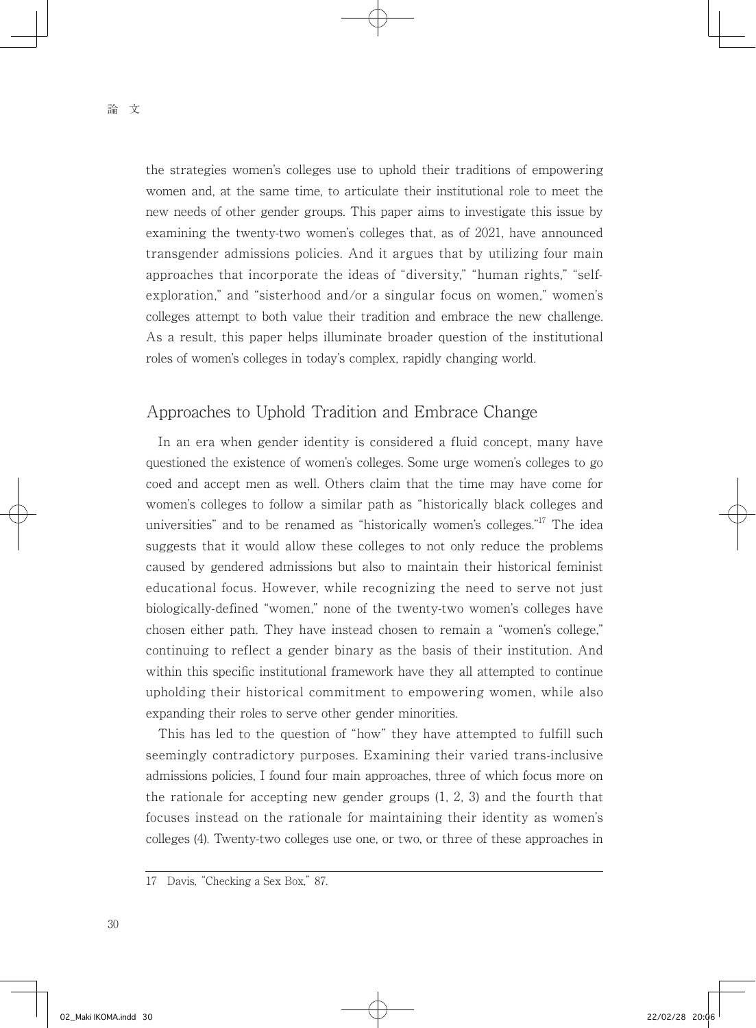the strategies women's colleges use to uphold their traditions of empowering women and, at the same time, to articulate their institutional role to meet the new needs of other gender groups. This paper aims to investigate this issue by examining the twenty-two women's colleges that, as of 2021, have announced transgender admissions policies. And it argues that by utilizing four main approaches that incorporate the ideas of "diversity," "human rights," "selfexploration," and "sisterhood and/or a singular focus on women," women's colleges attempt to both value their tradition and embrace the new challenge. As a result, this paper helps illuminate broader question of the institutional roles of women's colleges in today's complex, rapidly changing world.

# Approaches to Uphold Tradition and Embrace Change

 In an era when gender identity is considered a fluid concept, many have questioned the existence of women's colleges. Some urge women's colleges to go coed and accept men as well. Others claim that the time may have come for women's colleges to follow a similar path as "historically black colleges and universities" and to be renamed as "historically women's colleges."<sup>17</sup> The idea suggests that it would allow these colleges to not only reduce the problems caused by gendered admissions but also to maintain their historical feminist educational focus. However, while recognizing the need to serve not just biologically-defined "women," none of the twenty-two women's colleges have chosen either path. They have instead chosen to remain a "women's college," continuing to reflect a gender binary as the basis of their institution. And within this specific institutional framework have they all attempted to continue upholding their historical commitment to empowering women, while also expanding their roles to serve other gender minorities.

 This has led to the question of "how" they have attempted to fulfill such seemingly contradictory purposes. Examining their varied trans-inclusive admissions policies, I found four main approaches, three of which focus more on the rationale for accepting new gender groups (1, 2, 3) and the fourth that focuses instead on the rationale for maintaining their identity as women's colleges (4). Twenty-two colleges use one, or two, or three of these approaches in

<sup>17</sup> Davis, "Checking a Sex Box," 87.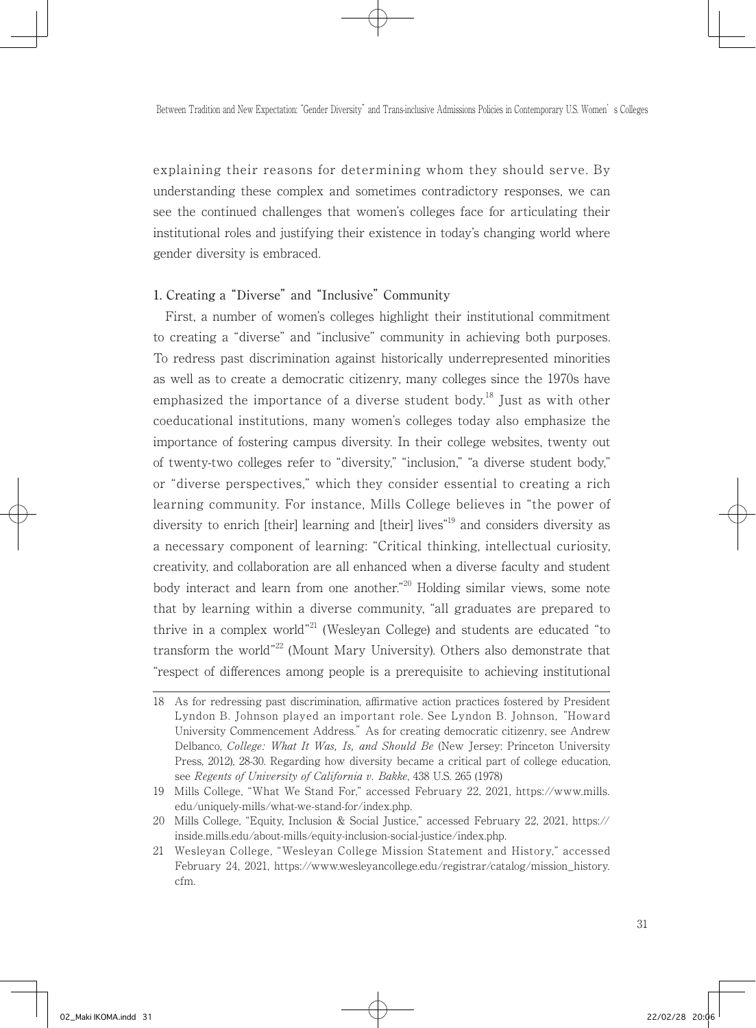explaining their reasons for determining whom they should serve. By understanding these complex and sometimes contradictory responses, we can see the continued challenges that women's colleges face for articulating their institutional roles and justifying their existence in today's changing world where gender diversity is embraced.

### 1. Creating a "Diverse" and "Inclusive" Community

 First, a number of women's colleges highlight their institutional commitment to creating a "diverse" and "inclusive" community in achieving both purposes. To redress past discrimination against historically underrepresented minorities as well as to create a democratic citizenry, many colleges since the 1970s have emphasized the importance of a diverse student body.<sup>18</sup> Just as with other coeducational institutions, many women's colleges today also emphasize the importance of fostering campus diversity. In their college websites, twenty out of twenty-two colleges refer to "diversity," "inclusion," "a diverse student body," or "diverse perspectives," which they consider essential to creating a rich learning community. For instance, Mills College believes in "the power of diversity to enrich [their] learning and [their] lives<sup>"19</sup> and considers diversity as a necessary component of learning: "Critical thinking, intellectual curiosity, creativity, and collaboration are all enhanced when a diverse faculty and student body interact and learn from one another."20 Holding similar views, some note that by learning within a diverse community, "all graduates are prepared to thrive in a complex world"<sup>21</sup> (Wesleyan College) and students are educated "to transform the world"<sup>22</sup> (Mount Mary University). Others also demonstrate that "respect of differences among people is a prerequisite to achieving institutional

<sup>18</sup> As for redressing past discrimination, affirmative action practices fostered by President Lyndon B. Johnson played an important role. See Lyndon B. Johnson, "Howard University Commencement Address." As for creating democratic citizenry, see Andrew Delbanco, College: What It Was, Is, and Should Be (New Jersey: Princeton University Press, 2012), 28-30. Regarding how diversity became a critical part of college education, see Regents of University of California v. Bakke, 438 U.S. 265 (1978)

<sup>19</sup> Mills College, "What We Stand For," accessed February 22, 2021, https://www.mills. edu/uniquely-mills/what-we-stand-for/index.php.

<sup>20</sup> Mills College, "Equity, Inclusion & Social Justice," accessed February 22, 2021, https:// inside.mills.edu/about-mills/equity-inclusion-social-justice/index.php.

<sup>21</sup> Wesleyan College, "Wesleyan College Mission Statement and History," accessed February 24, 2021, https://www.wesleyancollege.edu/registrar/catalog/mission\_history. cfm.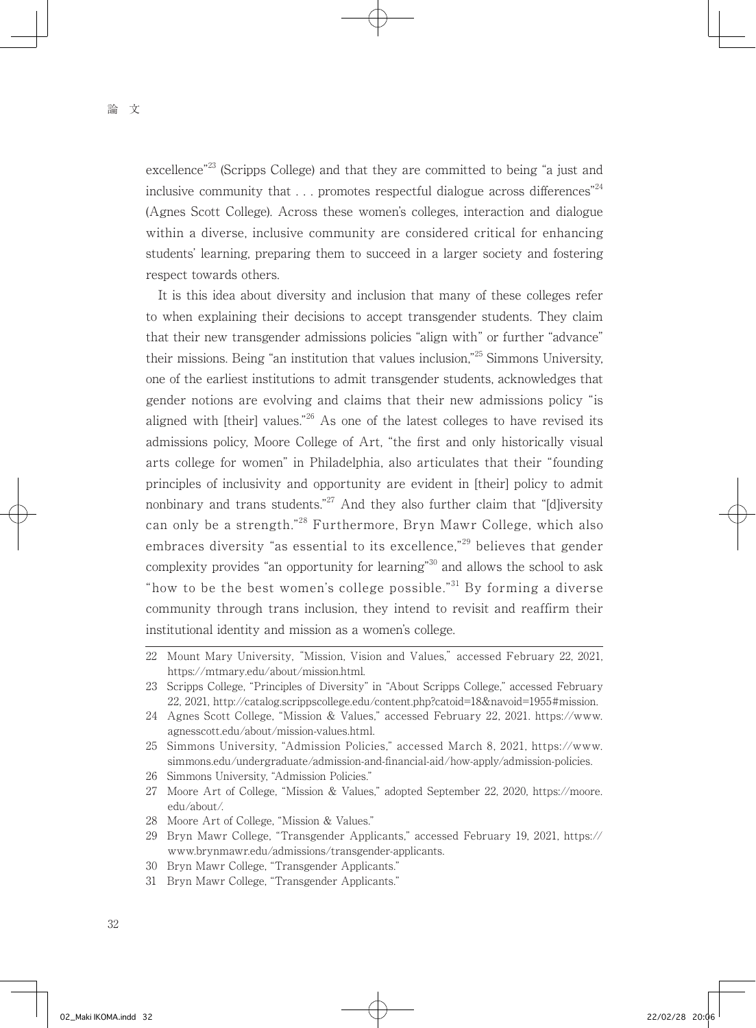excellence<sup>"23</sup> (Scripps College) and that they are committed to being "a just and inclusive community that  $\ldots$  promotes respectful dialogue across differences<sup>"24</sup> (Agnes Scott College). Across these women's colleges, interaction and dialogue within a diverse, inclusive community are considered critical for enhancing students' learning, preparing them to succeed in a larger society and fostering respect towards others.

 It is this idea about diversity and inclusion that many of these colleges refer to when explaining their decisions to accept transgender students. They claim that their new transgender admissions policies "align with" or further "advance" their missions. Being "an institution that values inclusion,"25 Simmons University, one of the earliest institutions to admit transgender students, acknowledges that gender notions are evolving and claims that their new admissions policy "is aligned with [their] values."<sup>26</sup> As one of the latest colleges to have revised its admissions policy, Moore College of Art, "the first and only historically visual arts college for women" in Philadelphia, also articulates that their "founding principles of inclusivity and opportunity are evident in [their] policy to admit nonbinary and trans students."<sup>27</sup> And they also further claim that "[d]iversity can only be a strength."28 Furthermore, Bryn Mawr College, which also embraces diversity "as essential to its excellence,"<sup>29</sup> believes that gender complexity provides "an opportunity for learning"30 and allows the school to ask "how to be the best women's college possible."<sup>31</sup> By forming a diverse community through trans inclusion, they intend to revisit and reaffirm their institutional identity and mission as a women's college.

- 26 Simmons University, "Admission Policies."
- 27 Moore Art of College, "Mission & Values," adopted September 22, 2020, https://moore. edu/about/.
- 28 Moore Art of College, "Mission & Values."

- 30 Bryn Mawr College, "Transgender Applicants."
- 31 Bryn Mawr College, "Transgender Applicants."

<sup>22</sup> Mount Mary University, "Mission, Vision and Values," accessed February 22, 2021, https://mtmary.edu/about/mission.html.

<sup>23</sup> Scripps College, "Principles of Diversity" in "About Scripps College," accessed February 22, 2021, http://catalog.scrippscollege.edu/content.php?catoid=18&navoid=1955#mission.

<sup>24</sup> Agnes Scott College, "Mission & Values," accessed February 22, 2021. https://www. agnesscott.edu/about/mission-values.html.

<sup>25</sup> Simmons University, "Admission Policies," accessed March 8, 2021, https://www. simmons.edu/undergraduate/admission-and-financial-aid/how-apply/admission-policies.

<sup>29</sup> Bryn Mawr College, "Transgender Applicants," accessed February 19, 2021, https:// www.brynmawr.edu/admissions/transgender-applicants.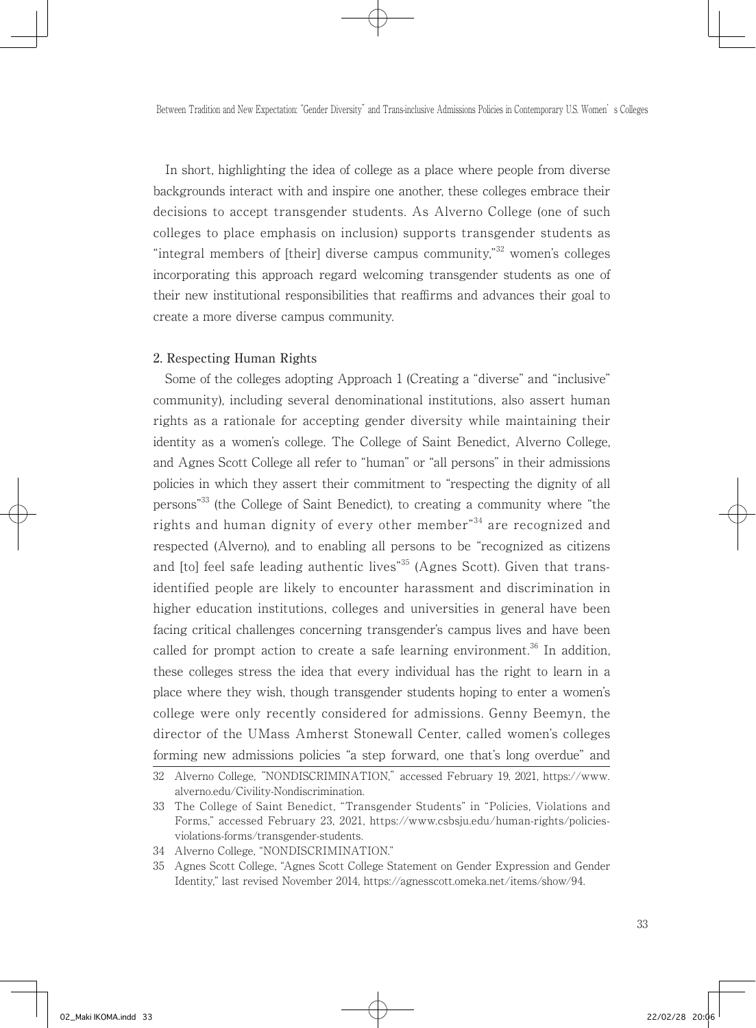In short, highlighting the idea of college as a place where people from diverse backgrounds interact with and inspire one another, these colleges embrace their decisions to accept transgender students. As Alverno College (one of such colleges to place emphasis on inclusion) supports transgender students as "integral members of [their] diverse campus community,"<sup>32</sup> women's colleges incorporating this approach regard welcoming transgender students as one of their new institutional responsibilities that reaffirms and advances their goal to create a more diverse campus community.

#### 2. Respecting Human Rights

 Some of the colleges adopting Approach 1 (Creating a "diverse" and "inclusive" community), including several denominational institutions, also assert human rights as a rationale for accepting gender diversity while maintaining their identity as a women's college. The College of Saint Benedict, Alverno College, and Agnes Scott College all refer to "human" or "all persons" in their admissions policies in which they assert their commitment to "respecting the dignity of all persons"33 (the College of Saint Benedict), to creating a community where "the rights and human dignity of every other member<sup>34</sup> are recognized and respected (Alverno), and to enabling all persons to be "recognized as citizens and [to] feel safe leading authentic lives"<sup>35</sup> (Agnes Scott). Given that transidentified people are likely to encounter harassment and discrimination in higher education institutions, colleges and universities in general have been facing critical challenges concerning transgender's campus lives and have been called for prompt action to create a safe learning environment.<sup>36</sup> In addition, these colleges stress the idea that every individual has the right to learn in a place where they wish, though transgender students hoping to enter a women's college were only recently considered for admissions. Genny Beemyn, the director of the UMass Amherst Stonewall Center, called women's colleges forming new admissions policies "a step forward, one that's long overdue" and

<sup>32</sup> Alverno College, "NONDISCRIMINATION," accessed February 19, 2021, https://www. alverno.edu/Civility-Nondiscrimination.

<sup>33</sup> The College of Saint Benedict, "Transgender Students" in "Policies, Violations and Forms," accessed February 23, 2021, https://www.csbsju.edu/human-rights/policiesviolations-forms/transgender-students.

<sup>34</sup> Alverno College, "NONDISCRIMINATION."

<sup>35</sup> Agnes Scott College, "Agnes Scott College Statement on Gender Expression and Gender Identity," last revised November 2014, https://agnesscott.omeka.net/items/show/94.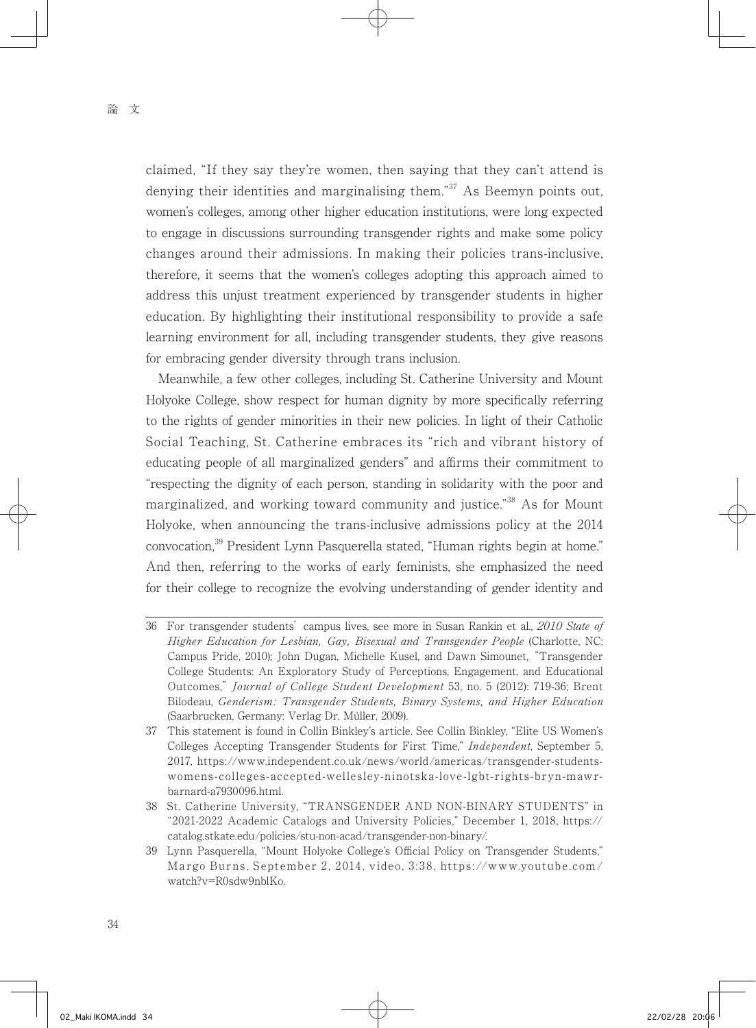claimed, "If they say they're women, then saying that they can't attend is denying their identities and marginalising them.<sup>37</sup> As Beemyn points out, women's colleges, among other higher education institutions, were long expected to engage in discussions surrounding transgender rights and make some policy changes around their admissions. In making their policies trans-inclusive, therefore, it seems that the women's colleges adopting this approach aimed to address this unjust treatment experienced by transgender students in higher education. By highlighting their institutional responsibility to provide a safe learning environment for all, including transgender students, they give reasons for embracing gender diversity through trans inclusion.

 Meanwhile, a few other colleges, including St. Catherine University and Mount Holyoke College, show respect for human dignity by more specifically referring to the rights of gender minorities in their new policies. In light of their Catholic Social Teaching, St. Catherine embraces its "rich and vibrant history of educating people of all marginalized genders" and affirms their commitment to "respecting the dignity of each person, standing in solidarity with the poor and marginalized, and working toward community and justice."38 As for Mount Holyoke, when announcing the trans-inclusive admissions policy at the 2014 convocation,<sup>39</sup> President Lynn Pasquerella stated, "Human rights begin at home." And then, referring to the works of early feminists, she emphasized the need for their college to recognize the evolving understanding of gender identity and

<sup>36</sup> For transgender students' campus lives, see more in Susan Rankin et al., 2010 State of Higher Education for Lesbian, Gay, Bisexual and Transgender People (Charlotte, NC: Campus Pride, 2010); John Dugan, Michelle Kusel, and Dawn Simounet, "Transgender College Students: An Exploratory Study of Perceptions, Engagement, and Educational Outcomes," Journal of College Student Development 53, no. 5 (2012): 719-36; Brent Bilodeau, Genderism: Transgender Students, Binary Systems, and Higher Education (Saarbrucken, Germany: Verlag Dr. Müller, 2009).

<sup>37</sup> This statement is found in Collin Binkley's article. See Collin Binkley, "Elite US Women's Colleges Accepting Transgender Students for First Time," Independent, September 5, 2017, https://www.independent.co.uk/news/world/americas/transgender-studentswomens-colleges-accepted-wellesley-ninotska-love-lgbt-rights-bryn-mawrbarnard-a7930096.html.

<sup>38</sup> St. Catherine University, "TRANSGENDER AND NON-BINARY STUDENTS" in "2021-2022 Academic Catalogs and University Policies," December 1, 2018, https:// catalog.stkate.edu/policies/stu-non-acad/transgender-non-binary/.

<sup>39</sup> Lynn Pasquerella, "Mount Holyoke College's Official Policy on Transgender Students," Margo Burns, September 2, 2014, video, 3:38, https://www.youtube.com/ watch?v=R0sdw9nblKo.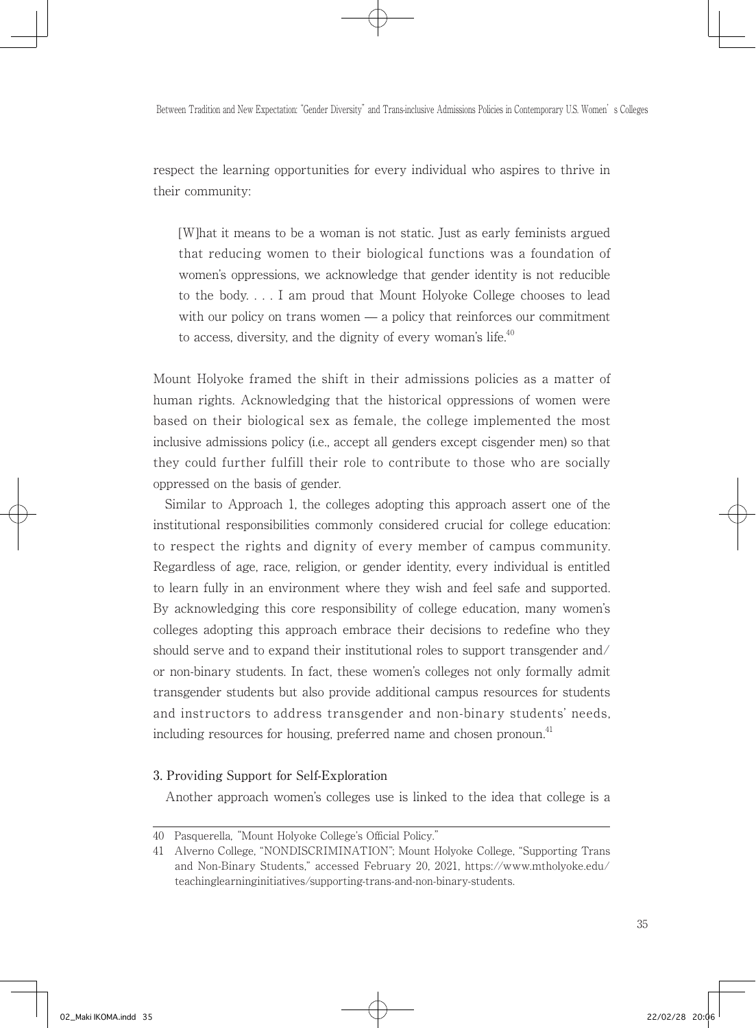respect the learning opportunities for every individual who aspires to thrive in their community:

[W]hat it means to be a woman is not static. Just as early feminists argued that reducing women to their biological functions was a foundation of women's oppressions, we acknowledge that gender identity is not reducible to the body. . . . I am proud that Mount Holyoke College chooses to lead with our policy on trans women — a policy that reinforces our commitment to access, diversity, and the dignity of every woman's life. $40$ 

Mount Holyoke framed the shift in their admissions policies as a matter of human rights. Acknowledging that the historical oppressions of women were based on their biological sex as female, the college implemented the most inclusive admissions policy (i.e., accept all genders except cisgender men) so that they could further fulfill their role to contribute to those who are socially oppressed on the basis of gender.

 Similar to Approach 1, the colleges adopting this approach assert one of the institutional responsibilities commonly considered crucial for college education: to respect the rights and dignity of every member of campus community. Regardless of age, race, religion, or gender identity, every individual is entitled to learn fully in an environment where they wish and feel safe and supported. By acknowledging this core responsibility of college education, many women's colleges adopting this approach embrace their decisions to redefine who they should serve and to expand their institutional roles to support transgender and/ or non-binary students. In fact, these women's colleges not only formally admit transgender students but also provide additional campus resources for students and instructors to address transgender and non-binary students' needs, including resources for housing, preferred name and chosen pronoun.<sup>41</sup>

#### 3. Providing Support for Self-Exploration

Another approach women's colleges use is linked to the idea that college is a

<sup>40</sup> Pasquerella, "Mount Holyoke College's Official Policy."

<sup>41</sup> Alverno College, "NONDISCRIMINATION"; Mount Holyoke College, "Supporting Trans and Non-Binary Students," accessed February 20, 2021, https://www.mtholyoke.edu/ teachinglearninginitiatives/supporting-trans-and-non-binary-students.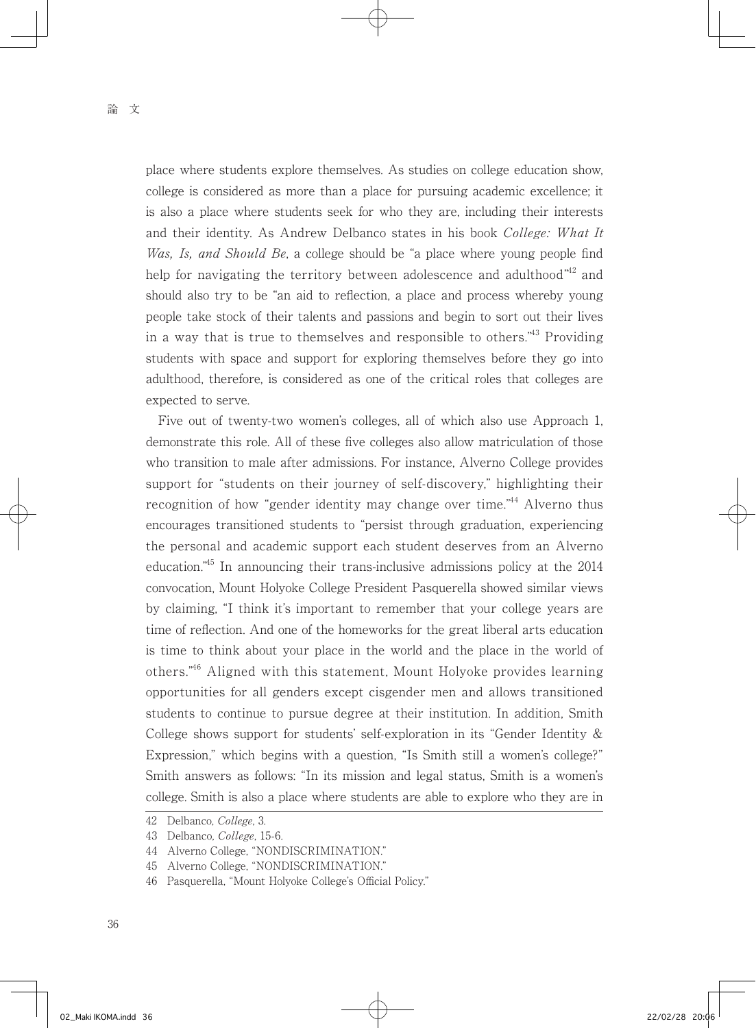place where students explore themselves. As studies on college education show, college is considered as more than a place for pursuing academic excellence; it is also a place where students seek for who they are, including their interests and their identity. As Andrew Delbanco states in his book College: What It Was, Is, and Should Be, a college should be "a place where young people find help for navigating the territory between adolescence and adulthood"<sup>42</sup> and should also try to be "an aid to reflection, a place and process whereby young people take stock of their talents and passions and begin to sort out their lives in a way that is true to themselves and responsible to others."43 Providing students with space and support for exploring themselves before they go into adulthood, therefore, is considered as one of the critical roles that colleges are expected to serve.

 Five out of twenty-two women's colleges, all of which also use Approach 1, demonstrate this role. All of these five colleges also allow matriculation of those who transition to male after admissions. For instance, Alverno College provides support for "students on their journey of self-discovery," highlighting their recognition of how "gender identity may change over time."<sup>44</sup> Alverno thus encourages transitioned students to "persist through graduation, experiencing the personal and academic support each student deserves from an Alverno education."45 In announcing their trans-inclusive admissions policy at the 2014 convocation, Mount Holyoke College President Pasquerella showed similar views by claiming, "I think it's important to remember that your college years are time of reflection. And one of the homeworks for the great liberal arts education is time to think about your place in the world and the place in the world of others."46 Aligned with this statement, Mount Holyoke provides learning opportunities for all genders except cisgender men and allows transitioned students to continue to pursue degree at their institution. In addition, Smith College shows support for students' self-exploration in its "Gender Identity & Expression," which begins with a question, "Is Smith still a women's college?" Smith answers as follows: "In its mission and legal status, Smith is a women's college. Smith is also a place where students are able to explore who they are in

<sup>42</sup> Delbanco, College, 3.

<sup>43</sup> Delbanco, College, 15-6.

<sup>44</sup> Alverno College, "NONDISCRIMINATION."

<sup>45</sup> Alverno College, "NONDISCRIMINATION."

<sup>46</sup> Pasquerella, "Mount Holyoke College's Official Policy."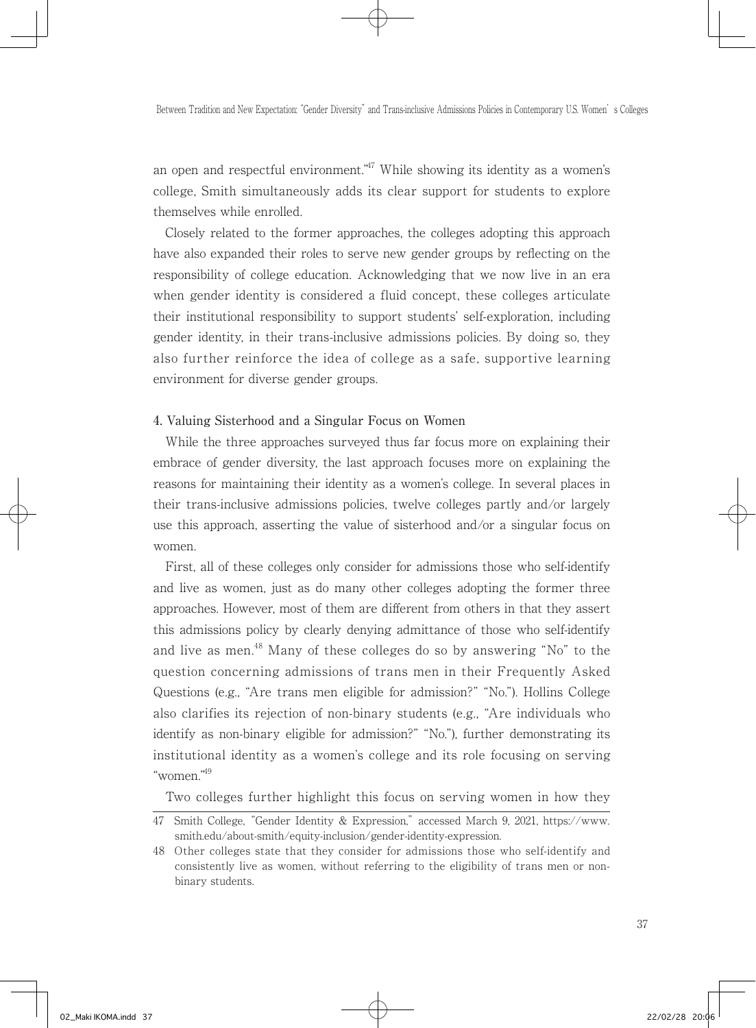an open and respectful environment."<sup>47</sup> While showing its identity as a women's college, Smith simultaneously adds its clear support for students to explore themselves while enrolled.

 Closely related to the former approaches, the colleges adopting this approach have also expanded their roles to serve new gender groups by reflecting on the responsibility of college education. Acknowledging that we now live in an era when gender identity is considered a fluid concept, these colleges articulate their institutional responsibility to support students' self-exploration, including gender identity, in their trans-inclusive admissions policies. By doing so, they also further reinforce the idea of college as a safe, supportive learning environment for diverse gender groups.

#### 4. Valuing Sisterhood and a Singular Focus on Women

 While the three approaches surveyed thus far focus more on explaining their embrace of gender diversity, the last approach focuses more on explaining the reasons for maintaining their identity as a women's college. In several places in their trans-inclusive admissions policies, twelve colleges partly and/or largely use this approach, asserting the value of sisterhood and/or a singular focus on women.

 First, all of these colleges only consider for admissions those who self-identify and live as women, just as do many other colleges adopting the former three approaches. However, most of them are different from others in that they assert this admissions policy by clearly denying admittance of those who self-identify and live as men.<sup>48</sup> Many of these colleges do so by answering "No" to the question concerning admissions of trans men in their Frequently Asked Questions (e.g., "Are trans men eligible for admission?" "No."). Hollins College also clarifies its rejection of non-binary students (e.g., "Are individuals who identify as non-binary eligible for admission?" "No."), further demonstrating its institutional identity as a women's college and its role focusing on serving "women."49

Two colleges further highlight this focus on serving women in how they

<sup>47</sup> Smith College, "Gender Identity & Expression," accessed March 9, 2021, https://www. smith.edu/about-smith/equity-inclusion/gender-identity-expression.

<sup>48</sup> Other colleges state that they consider for admissions those who self-identify and consistently live as women, without referring to the eligibility of trans men or nonbinary students.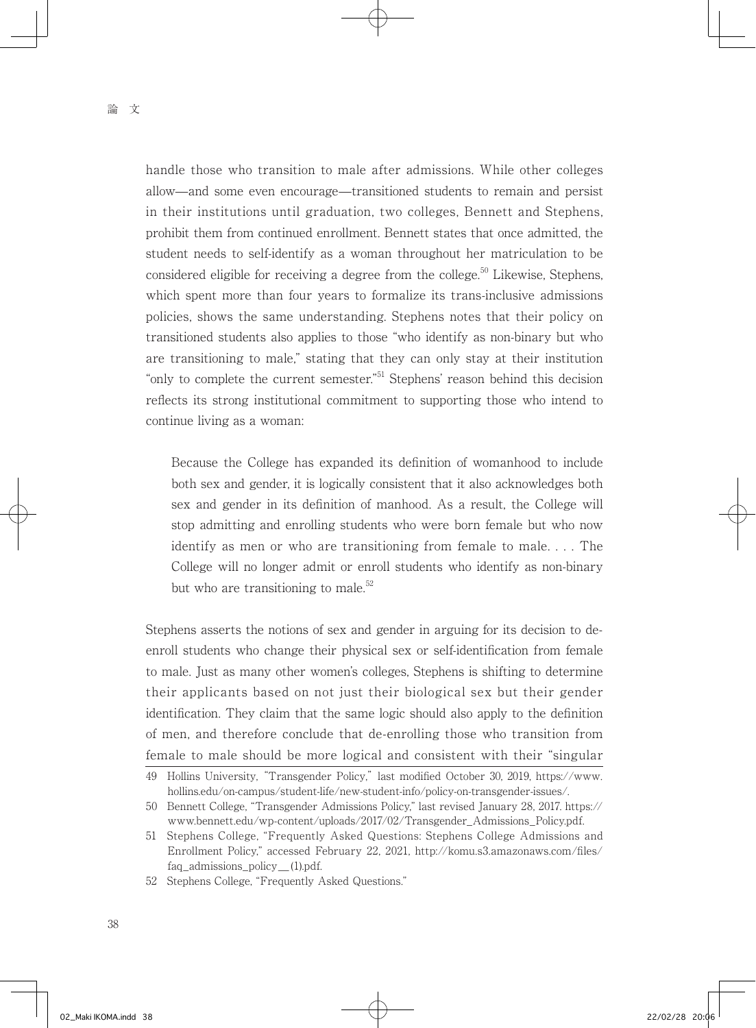handle those who transition to male after admissions. While other colleges allow—and some even encourage—transitioned students to remain and persist in their institutions until graduation, two colleges, Bennett and Stephens, prohibit them from continued enrollment. Bennett states that once admitted, the student needs to self-identify as a woman throughout her matriculation to be considered eligible for receiving a degree from the college.<sup>50</sup> Likewise, Stephens, which spent more than four years to formalize its trans-inclusive admissions policies, shows the same understanding. Stephens notes that their policy on transitioned students also applies to those "who identify as non-binary but who are transitioning to male," stating that they can only stay at their institution "only to complete the current semester."51 Stephens' reason behind this decision reflects its strong institutional commitment to supporting those who intend to continue living as a woman:

Because the College has expanded its definition of womanhood to include both sex and gender, it is logically consistent that it also acknowledges both sex and gender in its definition of manhood. As a result, the College will stop admitting and enrolling students who were born female but who now identify as men or who are transitioning from female to male. . . . The College will no longer admit or enroll students who identify as non-binary but who are transitioning to male.<sup>52</sup>

Stephens asserts the notions of sex and gender in arguing for its decision to deenroll students who change their physical sex or self-identification from female to male. Just as many other women's colleges, Stephens is shifting to determine their applicants based on not just their biological sex but their gender identification. They claim that the same logic should also apply to the definition of men, and therefore conclude that de-enrolling those who transition from female to male should be more logical and consistent with their "singular

<sup>49</sup> Hollins University, "Transgender Policy," last modified October 30, 2019, https://www. hollins.edu/on-campus/student-life/new-student-info/policy-on-transgender-issues/.

<sup>50</sup> Bennett College, "Transgender Admissions Policy," last revised January 28, 2017. https:// www.bennett.edu/wp-content/uploads/2017/02/Transgender\_Admissions\_Policy.pdf.

<sup>51</sup> Stephens College, "Frequently Asked Questions: Stephens College Admissions and Enrollment Policy," accessed February 22, 2021, http://komu.s3.amazonaws.com/files/ faq\_admissions\_policy\_(1).pdf.

<sup>52</sup> Stephens College, "Frequently Asked Questions."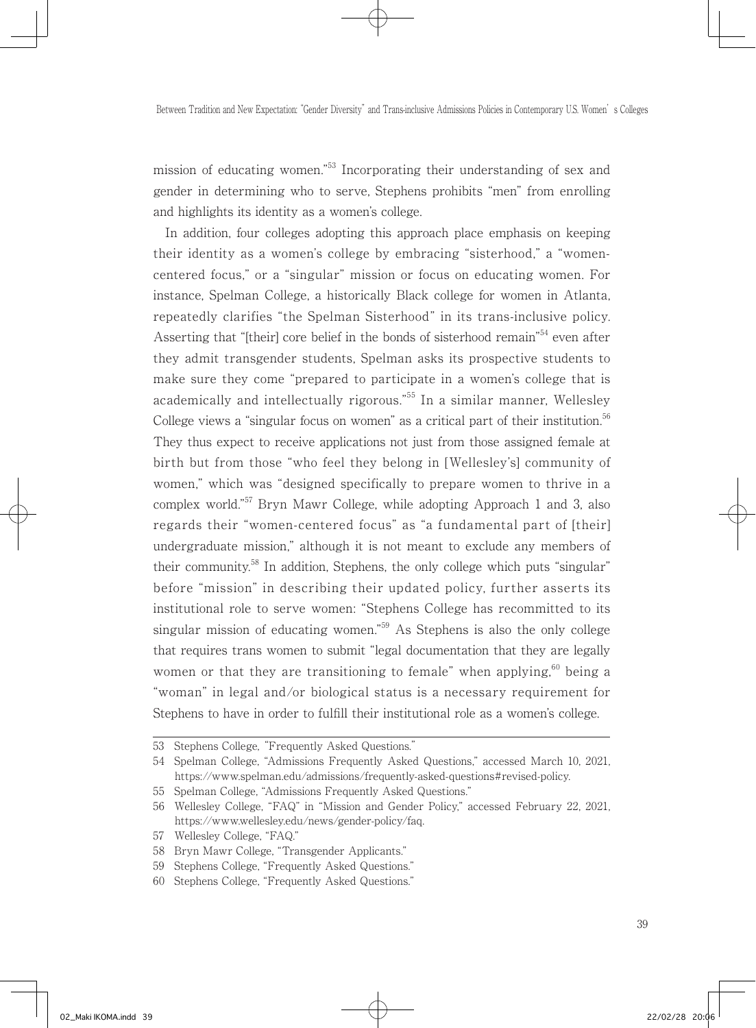mission of educating women."53 Incorporating their understanding of sex and gender in determining who to serve, Stephens prohibits "men" from enrolling and highlights its identity as a women's college.

 In addition, four colleges adopting this approach place emphasis on keeping their identity as a women's college by embracing "sisterhood," a "womencentered focus," or a "singular" mission or focus on educating women. For instance, Spelman College, a historically Black college for women in Atlanta, repeatedly clarifies "the Spelman Sisterhood" in its trans-inclusive policy. Asserting that "[their] core belief in the bonds of sisterhood remain"<sup>54</sup> even after they admit transgender students, Spelman asks its prospective students to make sure they come "prepared to participate in a women's college that is academically and intellectually rigorous."55 In a similar manner, Wellesley College views a "singular focus on women" as a critical part of their institution.<sup>56</sup> They thus expect to receive applications not just from those assigned female at birth but from those "who feel they belong in [Wellesley's] community of women," which was "designed specifically to prepare women to thrive in a complex world."57 Bryn Mawr College, while adopting Approach 1 and 3, also regards their "women-centered focus" as "a fundamental part of [their] undergraduate mission," although it is not meant to exclude any members of their community.<sup>58</sup> In addition, Stephens, the only college which puts "singular" before "mission" in describing their updated policy, further asserts its institutional role to serve women: "Stephens College has recommitted to its singular mission of educating women.<sup>"59</sup> As Stephens is also the only college that requires trans women to submit "legal documentation that they are legally women or that they are transitioning to female" when applying, $60$  being a "woman" in legal and/or biological status is a necessary requirement for Stephens to have in order to fulfill their institutional role as a women's college.

57 Wellesley College, "FAQ."

<sup>53</sup> Stephens College, "Frequently Asked Questions."

<sup>54</sup> Spelman College, "Admissions Frequently Asked Questions," accessed March 10, 2021, https://www.spelman.edu/admissions/frequently-asked-questions#revised-policy.

<sup>55</sup> Spelman College, "Admissions Frequently Asked Questions."

<sup>56</sup> Wellesley College, "FAQ" in "Mission and Gender Policy," accessed February 22, 2021, https://www.wellesley.edu/news/gender-policy/faq.

<sup>58</sup> Bryn Mawr College, "Transgender Applicants."

<sup>59</sup> Stephens College, "Frequently Asked Questions."

<sup>60</sup> Stephens College, "Frequently Asked Questions."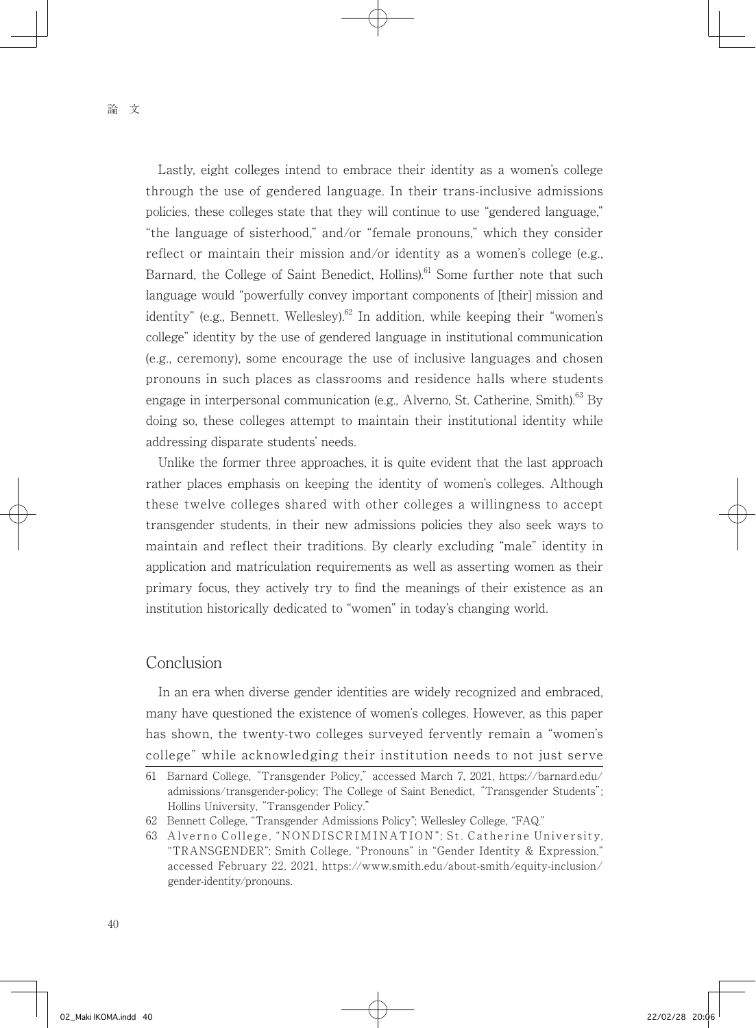Lastly, eight colleges intend to embrace their identity as a women's college through the use of gendered language. In their trans-inclusive admissions policies, these colleges state that they will continue to use "gendered language," "the language of sisterhood," and/or "female pronouns," which they consider reflect or maintain their mission and/or identity as a women's college (e.g., Barnard, the College of Saint Benedict, Hollins).<sup>61</sup> Some further note that such language would "powerfully convey important components of [their] mission and identity" (e.g., Bennett, Wellesley).<sup>62</sup> In addition, while keeping their "women's college" identity by the use of gendered language in institutional communication (e.g., ceremony), some encourage the use of inclusive languages and chosen pronouns in such places as classrooms and residence halls where students engage in interpersonal communication (e.g., Alverno, St. Catherine, Smith).<sup>63</sup> By doing so, these colleges attempt to maintain their institutional identity while addressing disparate students' needs.

 Unlike the former three approaches, it is quite evident that the last approach rather places emphasis on keeping the identity of women's colleges. Although these twelve colleges shared with other colleges a willingness to accept transgender students, in their new admissions policies they also seek ways to maintain and reflect their traditions. By clearly excluding "male" identity in application and matriculation requirements as well as asserting women as their primary focus, they actively try to find the meanings of their existence as an institution historically dedicated to "women" in today's changing world.

## Conclusion

 In an era when diverse gender identities are widely recognized and embraced, many have questioned the existence of women's colleges. However, as this paper has shown, the twenty-two colleges surveyed fervently remain a "women's college" while acknowledging their institution needs to not just serve

<sup>61</sup> Barnard College, "Transgender Policy," accessed March 7, 2021, https://barnard.edu/ admissions/transgender-policy; The College of Saint Benedict, "Transgender Students"; Hollins University, "Transgender Policy."

<sup>62</sup> Bennett College, "Transgender Admissions Policy"; Wellesley College, "FAQ."

<sup>63</sup> Alverno College, "NONDISCRIMINATION"; St. Catherine University, "TRANSGENDER"; Smith College, "Pronouns" in "Gender Identity & Expression," accessed February 22, 2021, https://www.smith.edu/about-smith/equity-inclusion/ gender-identity/pronouns.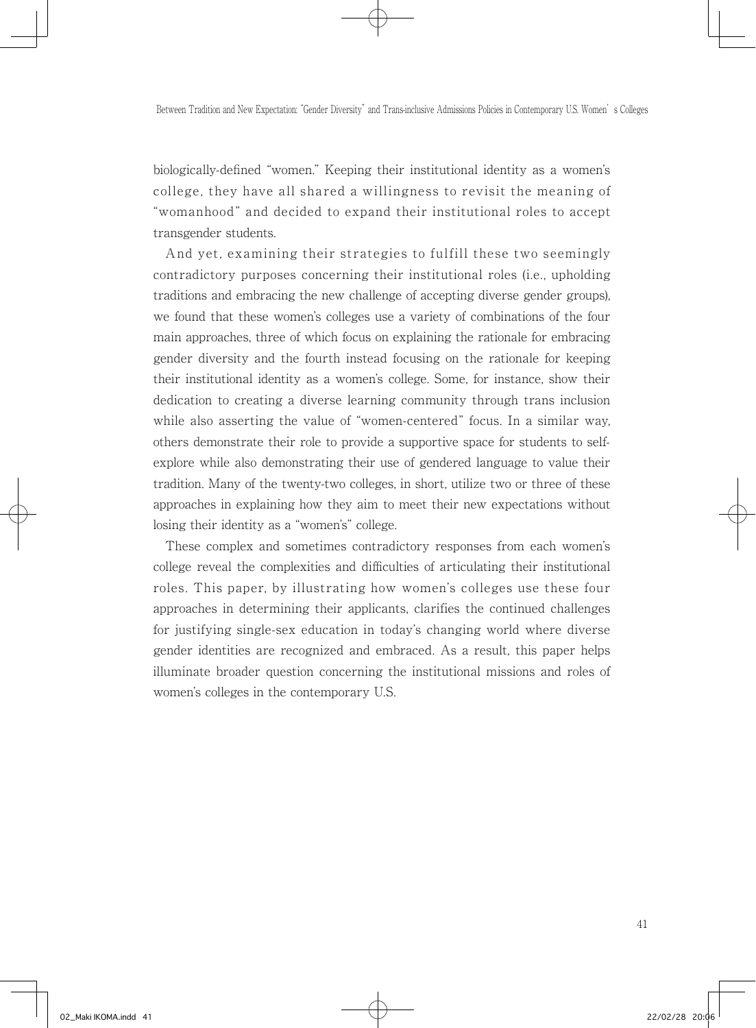biologically-defined "women." Keeping their institutional identity as a women's college, they have all shared a willingness to revisit the meaning of "womanhood" and decided to expand their institutional roles to accept transgender students.

 And yet, examining their strategies to fulfill these two seemingly contradictory purposes concerning their institutional roles (i.e., upholding traditions and embracing the new challenge of accepting diverse gender groups), we found that these women's colleges use a variety of combinations of the four main approaches, three of which focus on explaining the rationale for embracing gender diversity and the fourth instead focusing on the rationale for keeping their institutional identity as a women's college. Some, for instance, show their dedication to creating a diverse learning community through trans inclusion while also asserting the value of "women-centered" focus. In a similar way, others demonstrate their role to provide a supportive space for students to selfexplore while also demonstrating their use of gendered language to value their tradition. Many of the twenty-two colleges, in short, utilize two or three of these approaches in explaining how they aim to meet their new expectations without losing their identity as a "women's" college.

 These complex and sometimes contradictory responses from each women's college reveal the complexities and difficulties of articulating their institutional roles. This paper, by illustrating how women's colleges use these four approaches in determining their applicants, clarifies the continued challenges for justifying single-sex education in today's changing world where diverse gender identities are recognized and embraced. As a result, this paper helps illuminate broader question concerning the institutional missions and roles of women's colleges in the contemporary U.S.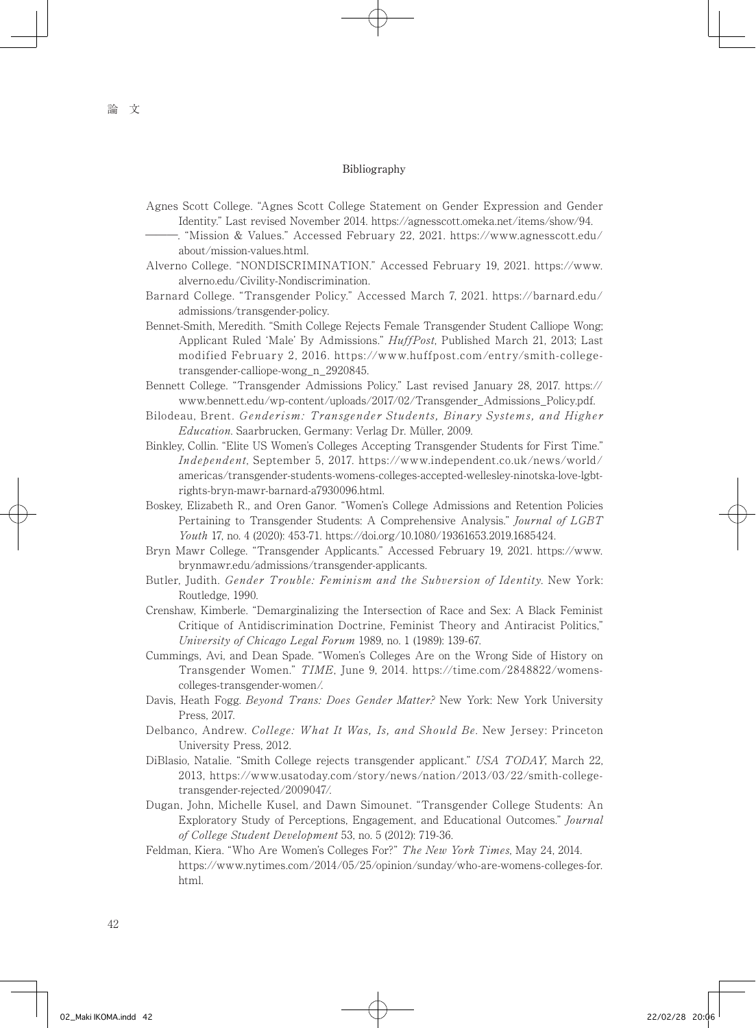#### Bibliography

- Agnes Scott College. "Agnes Scott College Statement on Gender Expression and Gender Identity." Last revised November 2014. https://agnesscott.omeka.net/items/show/94.
	- ―――. "Mission & Values." Accessed February 22, 2021. https://www.agnesscott.edu/ about/mission-values.html.
- Alverno College. "NONDISCRIMINATION." Accessed February 19, 2021. https://www. alverno.edu/Civility-Nondiscrimination.
- Barnard College. "Transgender Policy." Accessed March 7, 2021. https://barnard.edu/ admissions/transgender-policy.
- Bennet-Smith, Meredith. "Smith College Rejects Female Transgender Student Calliope Wong; Applicant Ruled 'Male' By Admissions." HuffPost, Published March 21, 2013; Last modified February 2, 2016. https://www.huffpost.com/entry/smith-collegetransgender-calliope-wong\_n\_2920845.
- Bennett College. "Transgender Admissions Policy." Last revised January 28, 2017. https:// www.bennett.edu/wp-content/uploads/2017/02/Transgender\_Admissions\_Policy.pdf.
- Bilodeau, Brent. Genderism: Transgender Students, Binary Systems, and Higher Education. Saarbrucken, Germany: Verlag Dr. Müller, 2009.
- Binkley, Collin. "Elite US Women's Colleges Accepting Transgender Students for First Time." Independent, September 5, 2017. https://www.independent.co.uk/news/world/ americas/transgender-students-womens-colleges-accepted-wellesley-ninotska-love-lgbtrights-bryn-mawr-barnard-a7930096.html.
- Boskey, Elizabeth R., and Oren Ganor. "Women's College Admissions and Retention Policies Pertaining to Transgender Students: A Comprehensive Analysis." Journal of LGBT Youth 17, no. 4 (2020): 453-71. https://doi.org/10.1080/19361653.2019.1685424.
- Bryn Mawr College. "Transgender Applicants." Accessed February 19, 2021. https://www. brynmawr.edu/admissions/transgender-applicants.
- Butler, Judith. Gender Trouble: Feminism and the Subversion of Identity. New York: Routledge, 1990.
- Crenshaw, Kimberle. "Demarginalizing the Intersection of Race and Sex: A Black Feminist Critique of Antidiscrimination Doctrine, Feminist Theory and Antiracist Politics," University of Chicago Legal Forum 1989, no. 1 (1989): 139-67.
- Cummings, Avi, and Dean Spade. "Women's Colleges Are on the Wrong Side of History on Transgender Women." TIME, June 9, 2014. https://time.com/2848822/womenscolleges-transgender-women/.
- Davis, Heath Fogg. Beyond Trans: Does Gender Matter? New York: New York University Press, 2017.
- Delbanco, Andrew. College: What It Was, Is, and Should Be. New Jersey: Princeton University Press, 2012.
- DiBlasio, Natalie. "Smith College rejects transgender applicant." USA TODAY, March 22, 2013, https://www.usatoday.com/story/news/nation/2013/03/22/smith-collegetransgender-rejected/2009047/.
- Dugan, John, Michelle Kusel, and Dawn Simounet. "Transgender College Students: An Exploratory Study of Perceptions, Engagement, and Educational Outcomes." Journal of College Student Development 53, no. 5 (2012): 719-36.
- Feldman, Kiera. "Who Are Women's Colleges For?" The New York Times, May 24, 2014. https://www.nytimes.com/2014/05/25/opinion/sunday/who-are-womens-colleges-for. html.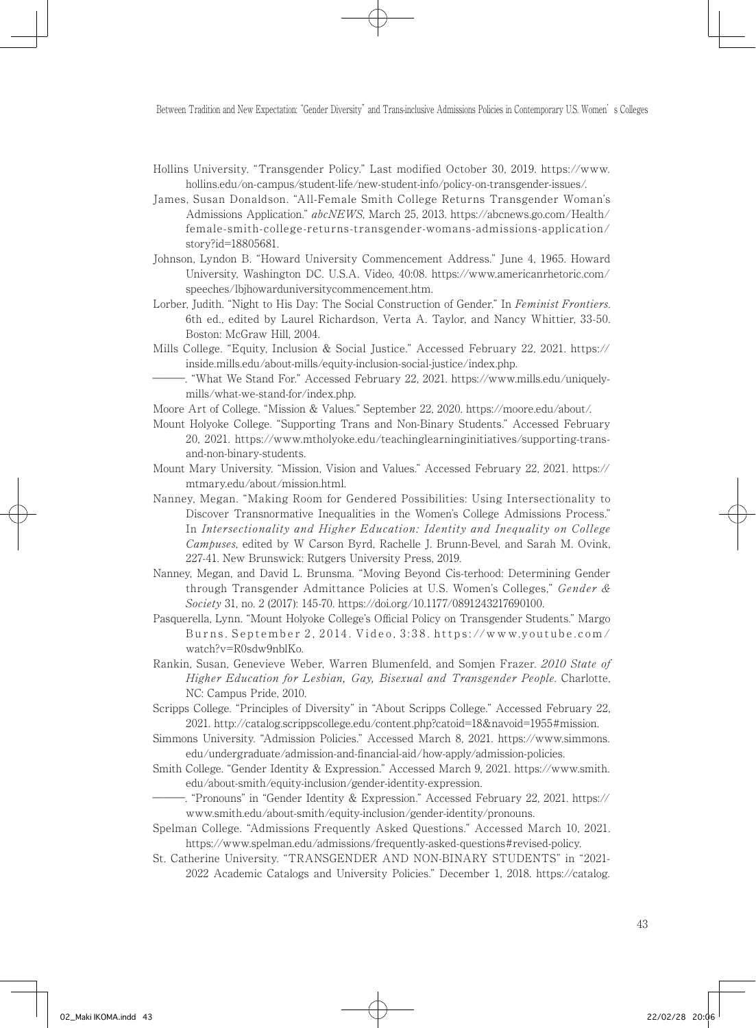- Hollins University. "Transgender Policy." Last modified October 30, 2019. https://www. hollins.edu/on-campus/student-life/new-student-info/policy-on-transgender-issues/.
- James, Susan Donaldson. "All-Female Smith College Returns Transgender Woman's Admissions Application." abcNEWS, March 25, 2013. https://abcnews.go.com/Health/ female-smith-college-returns-transgender-womans-admissions-application/ story?id=18805681.
- Johnson, Lyndon B. "Howard University Commencement Address." June 4, 1965. Howard University, Washington DC. U.S.A. Video, 40:08. https://www.americanrhetoric.com/ speeches/lbjhowarduniversitycommencement.htm.
- Lorber, Judith. "Night to His Day: The Social Construction of Gender." In Feminist Frontiers. 6th ed., edited by Laurel Richardson, Verta A. Taylor, and Nancy Whittier, 33-50. Boston: McGraw Hill, 2004.
- Mills College. "Equity, Inclusion & Social Justice." Accessed February 22, 2021. https:// inside.mills.edu/about-mills/equity-inclusion-social-justice/index.php.
- ―――. "What We Stand For." Accessed February 22, 2021. https://www.mills.edu/uniquelymills/what-we-stand-for/index.php.
- Moore Art of College. "Mission & Values." September 22, 2020. https://moore.edu/about/.
- Mount Holyoke College. "Supporting Trans and Non-Binary Students." Accessed February 20, 2021. https://www.mtholyoke.edu/teachinglearninginitiatives/supporting-transand-non-binary-students.
- Mount Mary University. "Mission, Vision and Values." Accessed February 22, 2021. https:// mtmary.edu/about/mission.html.
- Nanney, Megan. "Making Room for Gendered Possibilities: Using Intersectionality to Discover Transnormative Inequalities in the Women's College Admissions Process." In Intersectionality and Higher Education: Identity and Inequality on College Campuses, edited by W Carson Byrd, Rachelle J. Brunn-Bevel, and Sarah M. Ovink, 227-41. New Brunswick: Rutgers University Press, 2019.
- Nanney, Megan, and David L. Brunsma. "Moving Beyond Cis-terhood: Determining Gender through Transgender Admittance Policies at U.S. Women's Colleges," Gender & Society 31, no. 2 (2017): 145-70. https://doi.org/10.1177/0891243217690100.
- Pasquerella, Lynn. "Mount Holyoke College's Official Policy on Transgender Students." Margo Burns. September 2, 2014. Video, 3:38. https://www.youtube.com/ watch?v=R0sdw9nblKo.
- Rankin, Susan, Genevieve Weber, Warren Blumenfeld, and Somjen Frazer. 2010 State of Higher Education for Lesbian, Gay, Bisexual and Transgender People. Charlotte, NC: Campus Pride, 2010.
- Scripps College. "Principles of Diversity" in "About Scripps College." Accessed February 22, 2021. http://catalog.scrippscollege.edu/content.php?catoid=18&navoid=1955#mission.
- Simmons University. "Admission Policies." Accessed March 8, 2021. https://www.simmons. edu/undergraduate/admission-and-financial-aid/how-apply/admission-policies.
- Smith College. "Gender Identity & Expression." Accessed March 9, 2021. https://www.smith. edu/about-smith/equity-inclusion/gender-identity-expression.
- ―――. "Pronouns" in "Gender Identity & Expression." Accessed February 22, 2021. https:// www.smith.edu/about-smith/equity-inclusion/gender-identity/pronouns.
- Spelman College. "Admissions Frequently Asked Questions." Accessed March 10, 2021. https://www.spelman.edu/admissions/frequently-asked-questions#revised-policy.
- St. Catherine University. "TRANSGENDER AND NON-BINARY STUDENTS" in "2021- 2022 Academic Catalogs and University Policies." December 1, 2018. https://catalog.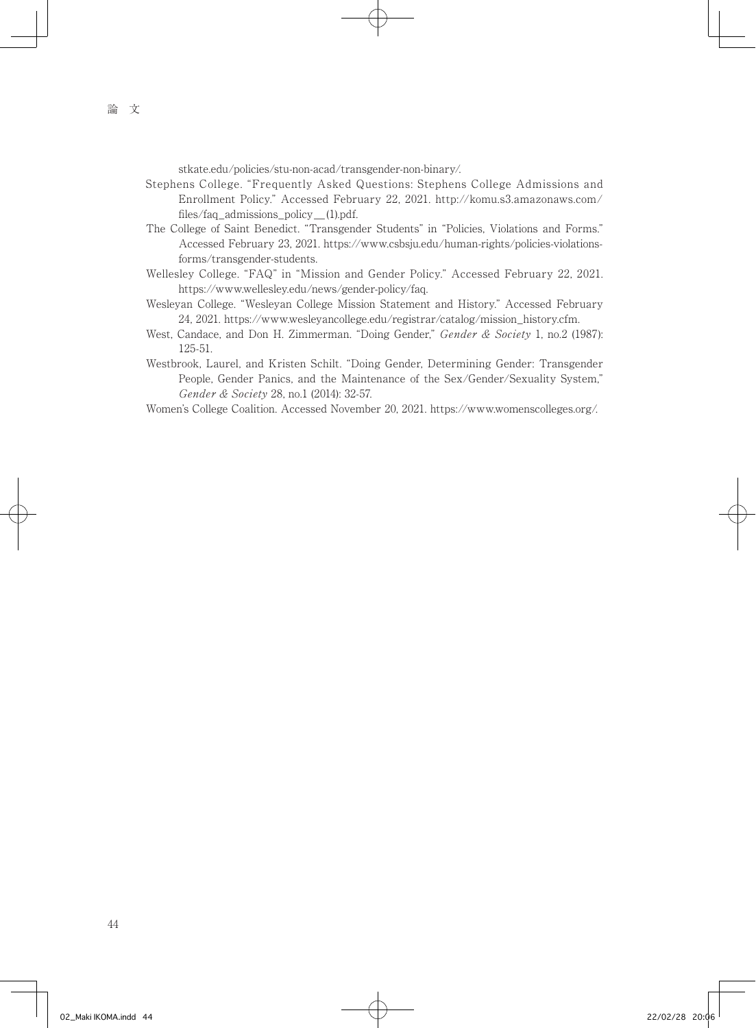stkate.edu/policies/stu-non-acad/transgender-non-binary/.

- Stephens College. "Frequently Asked Questions: Stephens College Admissions and Enrollment Policy." Accessed February 22, 2021. http://komu.s3.amazonaws.com/ files/faq\_admissions\_policy\_(1).pdf.
- The College of Saint Benedict. "Transgender Students" in "Policies, Violations and Forms." Accessed February 23, 2021. https://www.csbsju.edu/human-rights/policies-violationsforms/transgender-students.
- Wellesley College. "FAQ" in "Mission and Gender Policy." Accessed February 22, 2021. https://www.wellesley.edu/news/gender-policy/faq.
- Wesleyan College. "Wesleyan College Mission Statement and History." Accessed February 24, 2021. https://www.wesleyancollege.edu/registrar/catalog/mission\_history.cfm.
- West, Candace, and Don H. Zimmerman. "Doing Gender," Gender & Society 1, no.2 (1987): 125-51.
- Westbrook, Laurel, and Kristen Schilt. "Doing Gender, Determining Gender: Transgender People, Gender Panics, and the Maintenance of the Sex/Gender/Sexuality System," Gender & Society 28, no.1 (2014): 32-57.
- Women's College Coalition. Accessed November 20, 2021. https://www.womenscolleges.org/.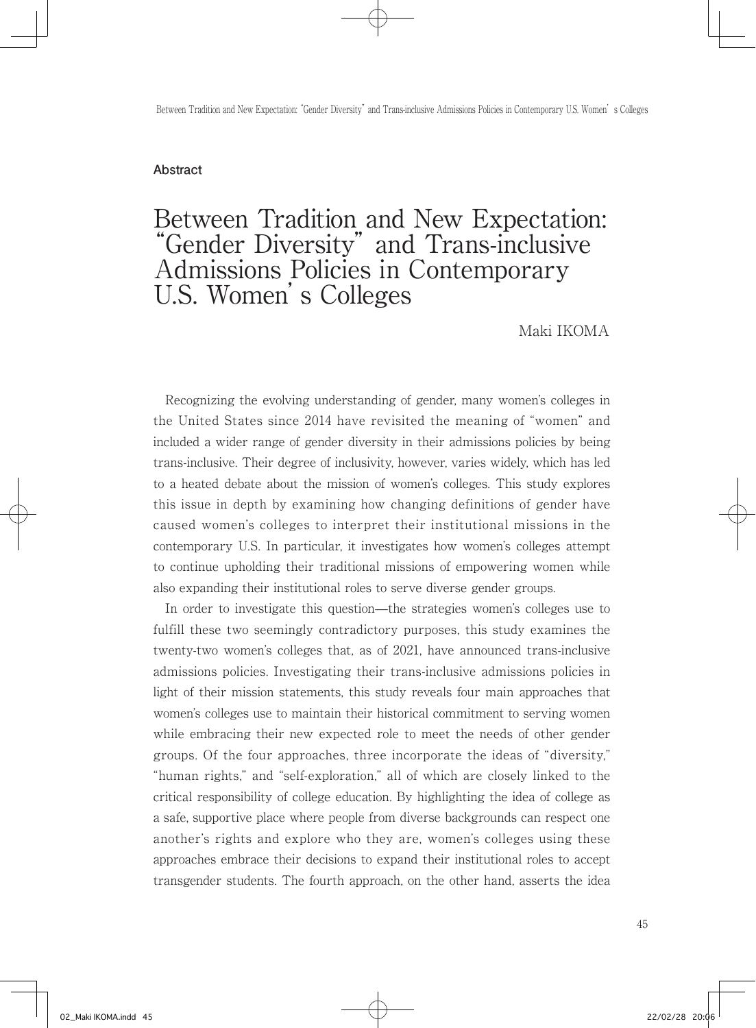#### **Abstract**

# Between Tradition and New Expectation: "Gender Diversity" and Trans-inclusive Admissions Policies in Contemporary U.S. Women's Colleges

#### Maki IKOMA

 Recognizing the evolving understanding of gender, many women's colleges in the United States since 2014 have revisited the meaning of "women" and included a wider range of gender diversity in their admissions policies by being trans-inclusive. Their degree of inclusivity, however, varies widely, which has led to a heated debate about the mission of women's colleges. This study explores this issue in depth by examining how changing definitions of gender have caused women's colleges to interpret their institutional missions in the contemporary U.S. In particular, it investigates how women's colleges attempt to continue upholding their traditional missions of empowering women while also expanding their institutional roles to serve diverse gender groups.

 In order to investigate this question—the strategies women's colleges use to fulfill these two seemingly contradictory purposes, this study examines the twenty-two women's colleges that, as of 2021, have announced trans-inclusive admissions policies. Investigating their trans-inclusive admissions policies in light of their mission statements, this study reveals four main approaches that women's colleges use to maintain their historical commitment to serving women while embracing their new expected role to meet the needs of other gender groups. Of the four approaches, three incorporate the ideas of "diversity," "human rights," and "self-exploration," all of which are closely linked to the critical responsibility of college education. By highlighting the idea of college as a safe, supportive place where people from diverse backgrounds can respect one another's rights and explore who they are, women's colleges using these approaches embrace their decisions to expand their institutional roles to accept transgender students. The fourth approach, on the other hand, asserts the idea